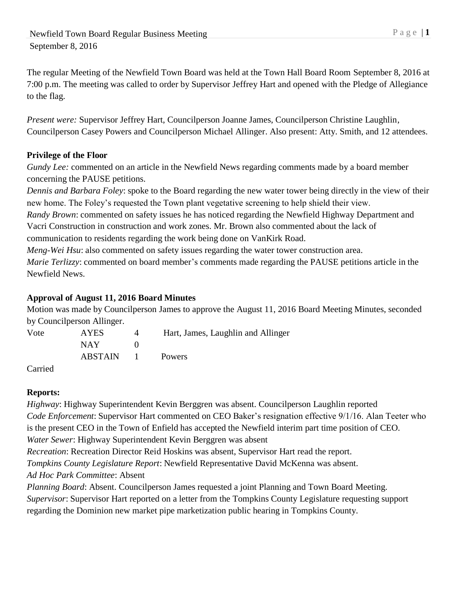The regular Meeting of the Newfield Town Board was held at the Town Hall Board Room September 8, 2016 at 7:00 p.m. The meeting was called to order by Supervisor Jeffrey Hart and opened with the Pledge of Allegiance to the flag.

*Present were:* Supervisor Jeffrey Hart, Councilperson Joanne James, Councilperson Christine Laughlin, Councilperson Casey Powers and Councilperson Michael Allinger. Also present: Atty. Smith, and 12 attendees.

## **Privilege of the Floor**

*Gundy Lee:* commented on an article in the Newfield News regarding comments made by a board member concerning the PAUSE petitions.

*Dennis and Barbara Foley*: spoke to the Board regarding the new water tower being directly in the view of their new home. The Foley's requested the Town plant vegetative screening to help shield their view.

*Randy Brown*: commented on safety issues he has noticed regarding the Newfield Highway Department and Vacri Construction in construction and work zones. Mr. Brown also commented about the lack of communication to residents regarding the work being done on VanKirk Road.

*Meng-Wei Hsu*: also commented on safety issues regarding the water tower construction area.

*Marie Terlizzy*: commented on board member's comments made regarding the PAUSE petitions article in the Newfield News.

## **Approval of August 11, 2016 Board Minutes**

Motion was made by Councilperson James to approve the August 11, 2016 Board Meeting Minutes, seconded by Councilperson Allinger.

| Vote | <b>AYES</b> | $\Delta$ | Hart, James, Laughlin and Allinger |
|------|-------------|----------|------------------------------------|
|      | NAY.        |          |                                    |
|      | ABSTAIN 1   |          | <b>Powers</b>                      |
|      |             |          |                                    |

## Carried

# **Reports:**

*Highway*: Highway Superintendent Kevin Berggren was absent. Councilperson Laughlin reported *Code Enforcement*: Supervisor Hart commented on CEO Baker's resignation effective 9/1/16. Alan Teeter who is the present CEO in the Town of Enfield has accepted the Newfield interim part time position of CEO. *Water Sewer*: Highway Superintendent Kevin Berggren was absent

*Recreation*: Recreation Director Reid Hoskins was absent, Supervisor Hart read the report.

*Tompkins County Legislature Report*: Newfield Representative David McKenna was absent.

*Ad Hoc Park Committee*: Absent

*Planning Board*: Absent. Councilperson James requested a joint Planning and Town Board Meeting. *Supervisor*: Supervisor Hart reported on a letter from the Tompkins County Legislature requesting support regarding the Dominion new market pipe marketization public hearing in Tompkins County.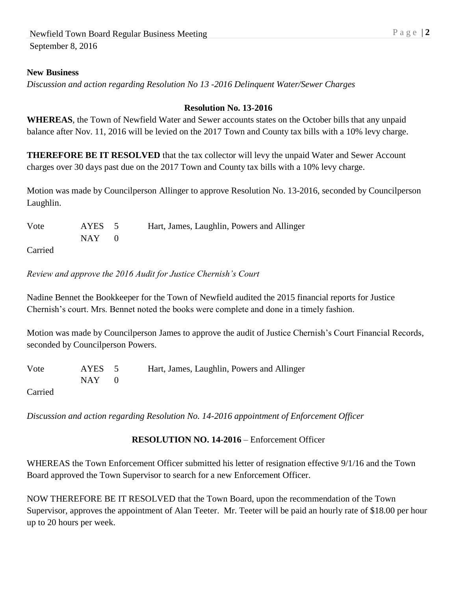#### **New Business**

*Discussion and action regarding Resolution No 13 -2016 Delinquent Water/Sewer Charges*

#### **Resolution No. 13-2016**

**WHEREAS**, the Town of Newfield Water and Sewer accounts states on the October bills that any unpaid balance after Nov. 11, 2016 will be levied on the 2017 Town and County tax bills with a 10% levy charge.

**THEREFORE BE IT RESOLVED** that the tax collector will levy the unpaid Water and Sewer Account charges over 30 days past due on the 2017 Town and County tax bills with a 10% levy charge.

Motion was made by Councilperson Allinger to approve Resolution No. 13-2016, seconded by Councilperson Laughlin.

| Vote    | AYES 5 | Hart, James, Laughlin, Powers and Allinger |
|---------|--------|--------------------------------------------|
|         | NAY 1  |                                            |
| Carried |        |                                            |

*Review and approve the 2016 Audit for Justice Chernish's Court*

Nadine Bennet the Bookkeeper for the Town of Newfield audited the 2015 financial reports for Justice Chernish's court. Mrs. Bennet noted the books were complete and done in a timely fashion.

Motion was made by Councilperson James to approve the audit of Justice Chernish's Court Financial Records, seconded by Councilperson Powers.

| Vote | AYES 5  | Hart, James, Laughlin, Powers and Allinger |
|------|---------|--------------------------------------------|
|      | $NAY$ 0 |                                            |

Carried

*Discussion and action regarding Resolution No. 14-2016 appointment of Enforcement Officer*

#### **RESOLUTION NO. 14-2016** – Enforcement Officer

WHEREAS the Town Enforcement Officer submitted his letter of resignation effective 9/1/16 and the Town Board approved the Town Supervisor to search for a new Enforcement Officer.

NOW THEREFORE BE IT RESOLVED that the Town Board, upon the recommendation of the Town Supervisor, approves the appointment of Alan Teeter. Mr. Teeter will be paid an hourly rate of \$18.00 per hour up to 20 hours per week.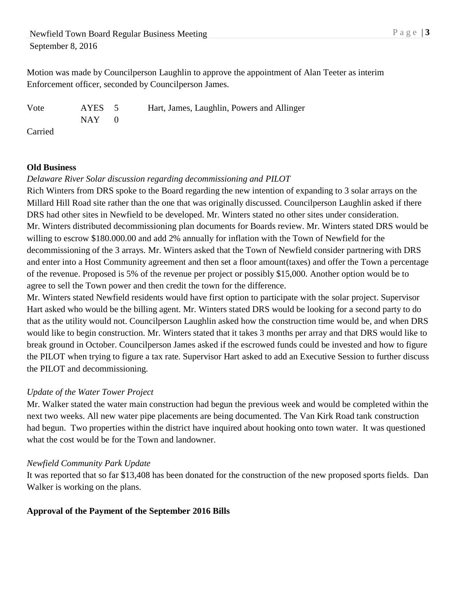Motion was made by Councilperson Laughlin to approve the appointment of Alan Teeter as interim Enforcement officer, seconded by Councilperson James.

Vote AYES 5 Hart, James, Laughlin, Powers and Allinger  $NAY$  0

Carried

#### **Old Business**

#### *Delaware River Solar discussion regarding decommissioning and PILOT*

Rich Winters from DRS spoke to the Board regarding the new intention of expanding to 3 solar arrays on the Millard Hill Road site rather than the one that was originally discussed. Councilperson Laughlin asked if there DRS had other sites in Newfield to be developed. Mr. Winters stated no other sites under consideration. Mr. Winters distributed decommissioning plan documents for Boards review. Mr. Winters stated DRS would be willing to escrow \$180.000.00 and add 2% annually for inflation with the Town of Newfield for the decommissioning of the 3 arrays. Mr. Winters asked that the Town of Newfield consider partnering with DRS and enter into a Host Community agreement and then set a floor amount(taxes) and offer the Town a percentage of the revenue. Proposed is 5% of the revenue per project or possibly \$15,000. Another option would be to agree to sell the Town power and then credit the town for the difference.

Mr. Winters stated Newfield residents would have first option to participate with the solar project. Supervisor Hart asked who would be the billing agent. Mr. Winters stated DRS would be looking for a second party to do that as the utility would not. Councilperson Laughlin asked how the construction time would be, and when DRS would like to begin construction. Mr. Winters stated that it takes 3 months per array and that DRS would like to break ground in October. Councilperson James asked if the escrowed funds could be invested and how to figure the PILOT when trying to figure a tax rate. Supervisor Hart asked to add an Executive Session to further discuss the PILOT and decommissioning.

## *Update of the Water Tower Project*

Mr. Walker stated the water main construction had begun the previous week and would be completed within the next two weeks. All new water pipe placements are being documented. The Van Kirk Road tank construction had begun. Two properties within the district have inquired about hooking onto town water. It was questioned what the cost would be for the Town and landowner.

#### *Newfield Community Park Update*

It was reported that so far \$13,408 has been donated for the construction of the new proposed sports fields. Dan Walker is working on the plans.

## **Approval of the Payment of the September 2016 Bills**